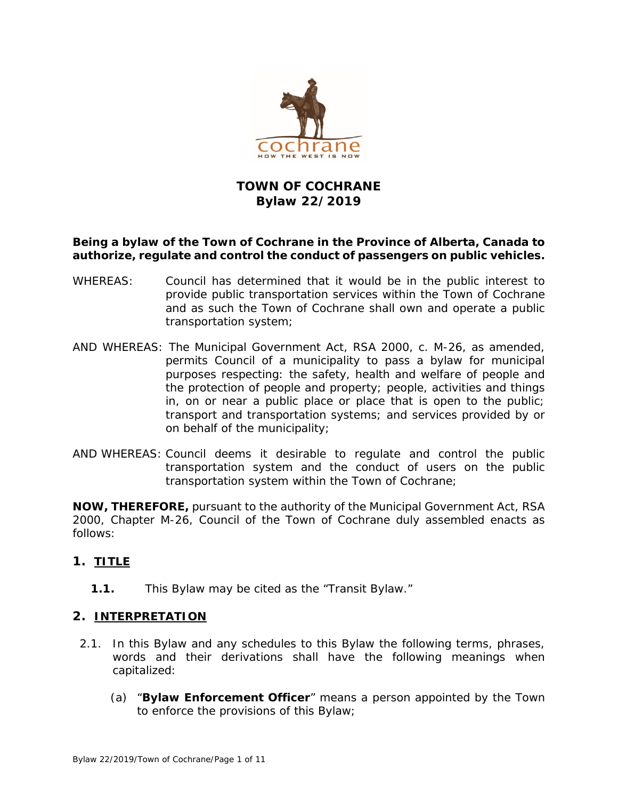

# **TOWN OF COCHRANE Bylaw 22/2019**

### **Being a bylaw of the Town of Cochrane in the Province of Alberta, Canada to authorize, regulate and control the conduct of passengers on public vehicles.**

- WHEREAS: Council has determined that it would be in the public interest to provide public transportation services within the Town of Cochrane and as such the Town of Cochrane shall own and operate a public transportation system;
- AND WHEREAS: The *Municipal Government Ac*t, RSA 2000, c. M-26, as amended, permits Council of a municipality to pass a bylaw for municipal purposes respecting: the safety, health and welfare of people and the protection of people and property; people, activities and things in, on or near a public place or place that is open to the public; transport and transportation systems; and services provided by or on behalf of the municipality;
- AND WHEREAS: Council deems it desirable to regulate and control the public transportation system and the conduct of users on the public transportation system within the Town of Cochrane;

**NOW, THEREFORE,** pursuant to the authority of the *Municipal Government Act*, RSA 2000, Chapter M-26, Council of the Town of Cochrane duly assembled enacts as follows:

# **1. TITLE**

**1.1.** This Bylaw may be cited as the "Transit Bylaw."

### **2. INTERPRETATION**

- 2.1. In this Bylaw and any schedules to this Bylaw the following terms, phrases, words and their derivations shall have the following meanings when capitalized:
	- (a) "**Bylaw Enforcement Officer**" means a person appointed by the Town to enforce the provisions of this Bylaw;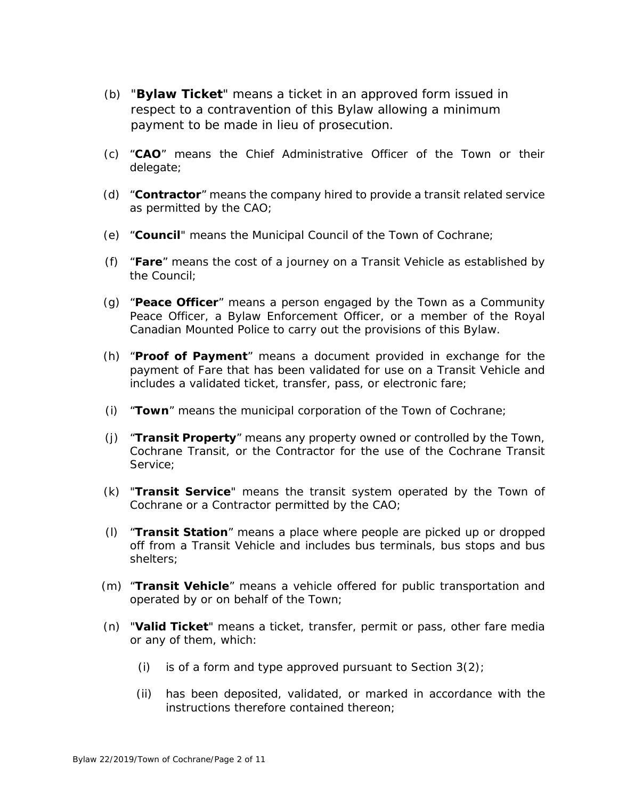- (b) "**Bylaw Ticket**" means a ticket in an approved form issued in respect to a contravention of this Bylaw allowing a minimum payment to be made in lieu of prosecution.
- (c) "**CAO**" means the Chief Administrative Officer of the Town or their delegate;
- (d) "**Contractor**" means the company hired to provide a transit related service as permitted by the CAO;
- (e) "**Council**" means the Municipal Council of the Town of Cochrane;
- (f) "**Fare**" means the cost of a journey on a Transit Vehicle as established by the Council;
- (g) "**Peace Officer**" means a person engaged by the Town as a Community Peace Officer, a Bylaw Enforcement Officer, or a member of the Royal Canadian Mounted Police to carry out the provisions of this Bylaw.
- (h) "**Proof of Payment**" means a document provided in exchange for the payment of Fare that has been validated for use on a Transit Vehicle and includes a validated ticket, transfer, pass, or electronic fare;
- (i) "**Town**" means the municipal corporation of the Town of Cochrane;
- (j) "**Transit Property**" means any property owned or controlled by the Town, Cochrane Transit, or the Contractor for the use of the Cochrane Transit Service;
- (k) "**Transit Service**" means the transit system operated by the Town of Cochrane or a Contractor permitted by the CAO;
- (l) "**Transit Station**" means a place where people are picked up or dropped off from a Transit Vehicle and includes bus terminals, bus stops and bus shelters;
- (m) "**Transit Vehicle**" means a vehicle offered for public transportation and operated by or on behalf of the Town;
- (n) "**Valid Ticket**" means a ticket, transfer, permit or pass, other fare media or any of them, which:
	- (i) is of a form and type approved pursuant to Section  $3(2)$ ;
	- (ii) has been deposited, validated, or marked in accordance with the instructions therefore contained thereon;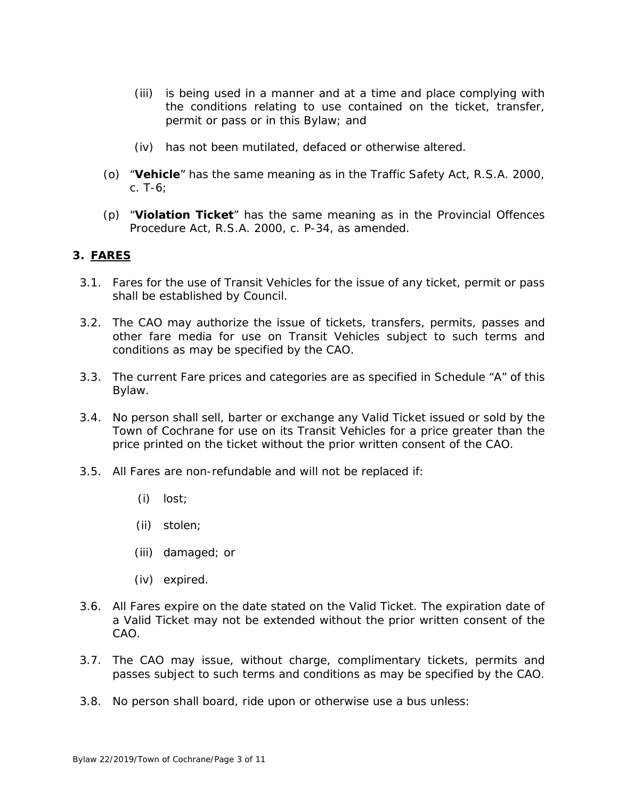- (iii) is being used in a manner and at a time and place complying with the conditions relating to use contained on the ticket, transfer, permit or pass or in this Bylaw; and
- (iv) has not been mutilated, defaced or otherwise altered.
- (o) "**Vehicle**" has the same meaning as in the Traffic Safety Act, R.S.A. 2000, c. T-6;
- (p) "**Violation Ticket**" has the same meaning as in the Provincial Offences Procedure Act, R.S.A. 2000, c. P-34, as amended.

### **3. FARES**

- 3.1. Fares for the use of Transit Vehicles for the issue of any ticket, permit or pass shall be established by Council.
- 3.2. The CAO may authorize the issue of tickets, transfers, permits, passes and other fare media for use on Transit Vehicles subject to such terms and conditions as may be specified by the CAO.
- 3.3. The current Fare prices and categories are as specified in Schedule "A" of this Bylaw.
- 3.4. No person shall sell, barter or exchange any Valid Ticket issued or sold by the Town of Cochrane for use on its Transit Vehicles for a price greater than the price printed on the ticket without the prior written consent of the CAO.
- 3.5. All Fares are non-refundable and will not be replaced if:
	- (i) lost;
	- (ii) stolen;
	- (iii) damaged; or
	- (iv) expired.
- 3.6. All Fares expire on the date stated on the Valid Ticket. The expiration date of a Valid Ticket may not be extended without the prior written consent of the CAO.
- 3.7. The CAO may issue, without charge, complimentary tickets, permits and passes subject to such terms and conditions as may be specified by the CAO.
- 3.8. No person shall board, ride upon or otherwise use a bus unless: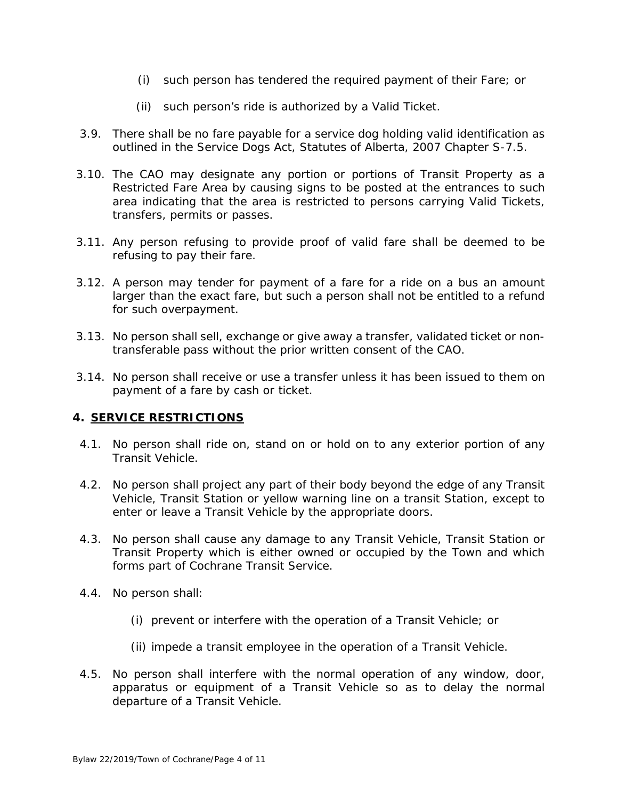- (i) such person has tendered the required payment of their Fare; or
- (ii) such person's ride is authorized by a Valid Ticket.
- 3.9. There shall be no fare payable for a service dog holding valid identification as outlined in the Service Dogs Act, Statutes of Alberta, 2007 Chapter S-7.5.
- 3.10. The CAO may designate any portion or portions of Transit Property as a Restricted Fare Area by causing signs to be posted at the entrances to such area indicating that the area is restricted to persons carrying Valid Tickets, transfers, permits or passes.
- 3.11. Any person refusing to provide proof of valid fare shall be deemed to be refusing to pay their fare.
- 3.12. A person may tender for payment of a fare for a ride on a bus an amount larger than the exact fare, but such a person shall not be entitled to a refund for such overpayment.
- 3.13. No person shall sell, exchange or give away a transfer, validated ticket or nontransferable pass without the prior written consent of the CAO.
- 3.14. No person shall receive or use a transfer unless it has been issued to them on payment of a fare by cash or ticket.

### **4. SERVICE RESTRICTIONS**

- 4.1. No person shall ride on, stand on or hold on to any exterior portion of any Transit Vehicle.
- 4.2. No person shall project any part of their body beyond the edge of any Transit Vehicle, Transit Station or yellow warning line on a transit Station, except to enter or leave a Transit Vehicle by the appropriate doors.
- 4.3. No person shall cause any damage to any Transit Vehicle, Transit Station or Transit Property which is either owned or occupied by the Town and which forms part of Cochrane Transit Service.
- 4.4. No person shall:
	- (i) prevent or interfere with the operation of a Transit Vehicle; or
	- (ii) impede a transit employee in the operation of a Transit Vehicle.
- 4.5. No person shall interfere with the normal operation of any window, door, apparatus or equipment of a Transit Vehicle so as to delay the normal departure of a Transit Vehicle.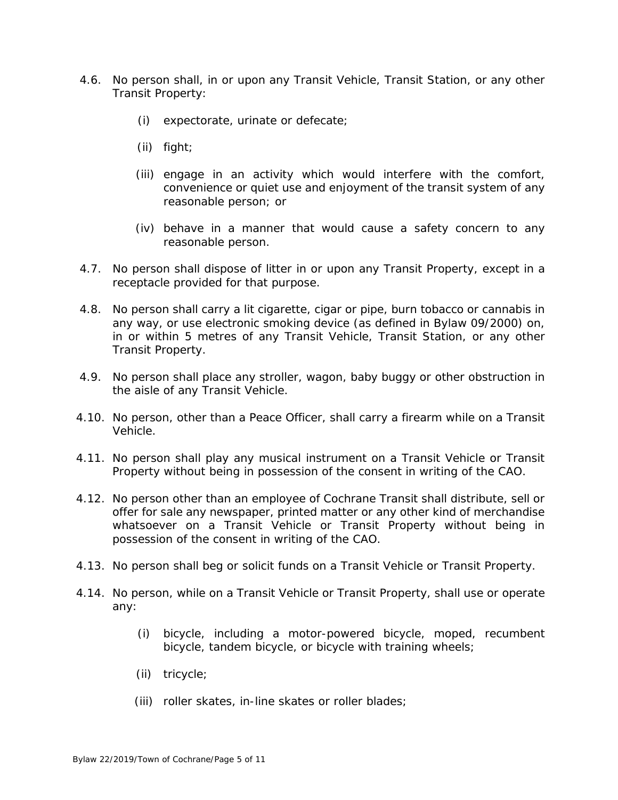- 4.6. No person shall, in or upon any Transit Vehicle, Transit Station, or any other Transit Property:
	- (i) expectorate, urinate or defecate;
	- (ii) fight;
	- (iii) engage in an activity which would interfere with the comfort, convenience or quiet use and enjoyment of the transit system of any reasonable person; or
	- (iv) behave in a manner that would cause a safety concern to any reasonable person.
- 4.7. No person shall dispose of litter in or upon any Transit Property, except in a receptacle provided for that purpose.
- 4.8. No person shall carry a lit cigarette, cigar or pipe, burn tobacco or cannabis in any way, or use electronic smoking device (as defined in Bylaw 09/2000) on, in or within 5 metres of any Transit Vehicle, Transit Station, or any other Transit Property.
- 4.9. No person shall place any stroller, wagon, baby buggy or other obstruction in the aisle of any Transit Vehicle.
- 4.10. No person, other than a Peace Officer, shall carry a firearm while on a Transit Vehicle.
- 4.11. No person shall play any musical instrument on a Transit Vehicle or Transit Property without being in possession of the consent in writing of the CAO.
- 4.12. No person other than an employee of Cochrane Transit shall distribute, sell or offer for sale any newspaper, printed matter or any other kind of merchandise whatsoever on a Transit Vehicle or Transit Property without being in possession of the consent in writing of the CAO.
- 4.13. No person shall beg or solicit funds on a Transit Vehicle or Transit Property.
- 4.14. No person, while on a Transit Vehicle or Transit Property, shall use or operate any:
	- (i) bicycle, including a motor-powered bicycle, moped, recumbent bicycle, tandem bicycle, or bicycle with training wheels;
	- (ii) tricycle;
	- (iii) roller skates, in-line skates or roller blades;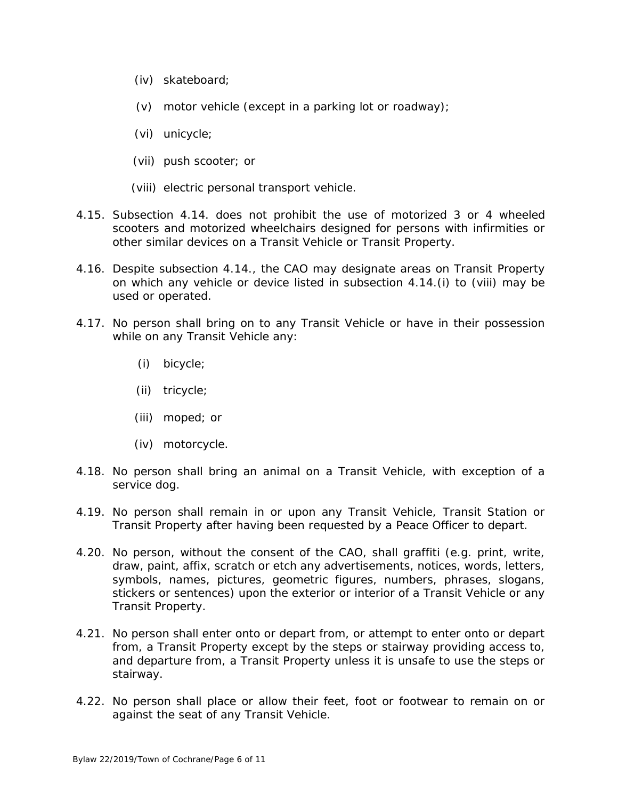- (iv) skateboard;
- (v) motor vehicle (except in a parking lot or roadway);
- (vi) unicycle;
- (vii) push scooter; or

(viii) electric personal transport vehicle.

- 4.15. Subsection 4.14. does not prohibit the use of motorized 3 or 4 wheeled scooters and motorized wheelchairs designed for persons with infirmities or other similar devices on a Transit Vehicle or Transit Property.
- 4.16. Despite subsection 4.14., the CAO may designate areas on Transit Property on which any vehicle or device listed in subsection 4.14.(i) to (viii) may be used or operated.
- 4.17. No person shall bring on to any Transit Vehicle or have in their possession while on any Transit Vehicle any:
	- (i) bicycle;
	- (ii) tricycle;
	- (iii) moped; or
	- (iv) motorcycle.
- 4.18. No person shall bring an animal on a Transit Vehicle, with exception of a service dog.
- 4.19. No person shall remain in or upon any Transit Vehicle, Transit Station or Transit Property after having been requested by a Peace Officer to depart.
- 4.20. No person, without the consent of the CAO, shall graffiti (e.g. print, write, draw, paint, affix, scratch or etch any advertisements, notices, words, letters, symbols, names, pictures, geometric figures, numbers, phrases, slogans, stickers or sentences) upon the exterior or interior of a Transit Vehicle or any Transit Property.
- 4.21. No person shall enter onto or depart from, or attempt to enter onto or depart from, a Transit Property except by the steps or stairway providing access to, and departure from, a Transit Property unless it is unsafe to use the steps or stairway.
- 4.22. No person shall place or allow their feet, foot or footwear to remain on or against the seat of any Transit Vehicle.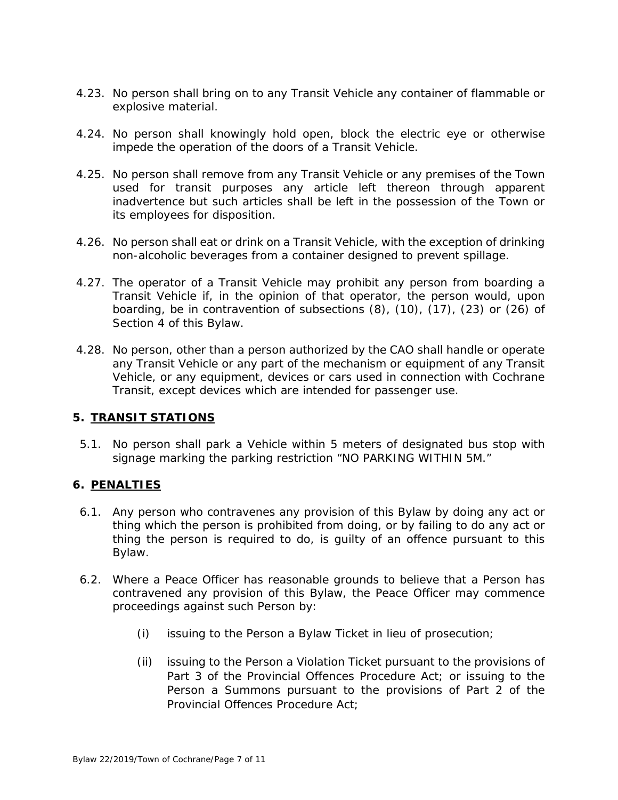- 4.23. No person shall bring on to any Transit Vehicle any container of flammable or explosive material.
- 4.24. No person shall knowingly hold open, block the electric eye or otherwise impede the operation of the doors of a Transit Vehicle.
- 4.25. No person shall remove from any Transit Vehicle or any premises of the Town used for transit purposes any article left thereon through apparent inadvertence but such articles shall be left in the possession of the Town or its employees for disposition.
- 4.26. No person shall eat or drink on a Transit Vehicle, with the exception of drinking non-alcoholic beverages from a container designed to prevent spillage.
- 4.27. The operator of a Transit Vehicle may prohibit any person from boarding a Transit Vehicle if, in the opinion of that operator, the person would, upon boarding, be in contravention of subsections (8), (10), (17), (23) or (26) of Section 4 of this Bylaw.
- 4.28. No person, other than a person authorized by the CAO shall handle or operate any Transit Vehicle or any part of the mechanism or equipment of any Transit Vehicle, or any equipment, devices or cars used in connection with Cochrane Transit, except devices which are intended for passenger use.

### **5. TRANSIT STATIONS**

5.1. No person shall park a Vehicle within 5 meters of designated bus stop with signage marking the parking restriction "NO PARKING WITHIN 5M."

### **6. PENALTIES**

- 6.1. Any person who contravenes any provision of this Bylaw by doing any act or thing which the person is prohibited from doing, or by failing to do any act or thing the person is required to do, is guilty of an offence pursuant to this Bylaw.
- 6.2. Where a Peace Officer has reasonable grounds to believe that a Person has contravened any provision of this Bylaw, the Peace Officer may commence proceedings against such Person by:
	- (i) issuing to the Person a Bylaw Ticket in lieu of prosecution;
	- (ii) issuing to the Person a Violation Ticket pursuant to the provisions of Part 3 of the Provincial Offences Procedure Act; or issuing to the Person a Summons pursuant to the provisions of Part 2 of the Provincial Offences Procedure Act;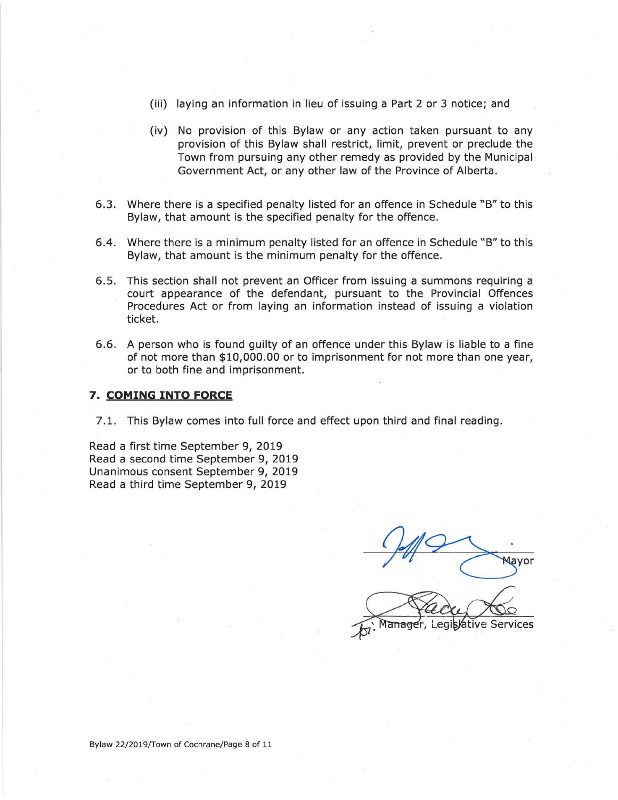- (iii) laying an information in lieu of issuing a Part 2 or 3 notice; and
- (iv) No provision of this Bylaw or any action taken pursuant to any provision of this Bylaw shall restrict, limit, prevent or preclude the Town from pursuing any other remedy as provided by the Municipal Government Act, or any other law of the Province of Alberta.
- 6.3. Where there is a specified penalty listed for an offence in Schedule "B" to this Bylaw, that amount is the specified penalty for the offence.
- 6.4. Where there is a minimum penalty listed for an offence in Schedule "B" to this Bylaw, that amount is the minimum penalty for the offence.
- 6.5. This section shall not prevent an Officer from issuing a summons requiring a court appearance of the defendant, pursuant to the Provincial Offences Procedures Act or from laying an information instead of issuing a violation ticket.
- 6.6. A person who is found guilty of an offence under this Bylaw is liable to a fine of not more than \$10,000.00 or to imprisonment for not more than one year, or to both fine and imprisonment.

#### 7. COMING **INTO FORCE**

<sup>7</sup>.1. This Bylaw comes into full force and effect upon third and final reading.

Read a first time September 9, 2019 Read a second time September 9, 2019 Unanimous consent September 9, 2019 Read a third time September 9, 2019

Mavor Manager, Legislative Services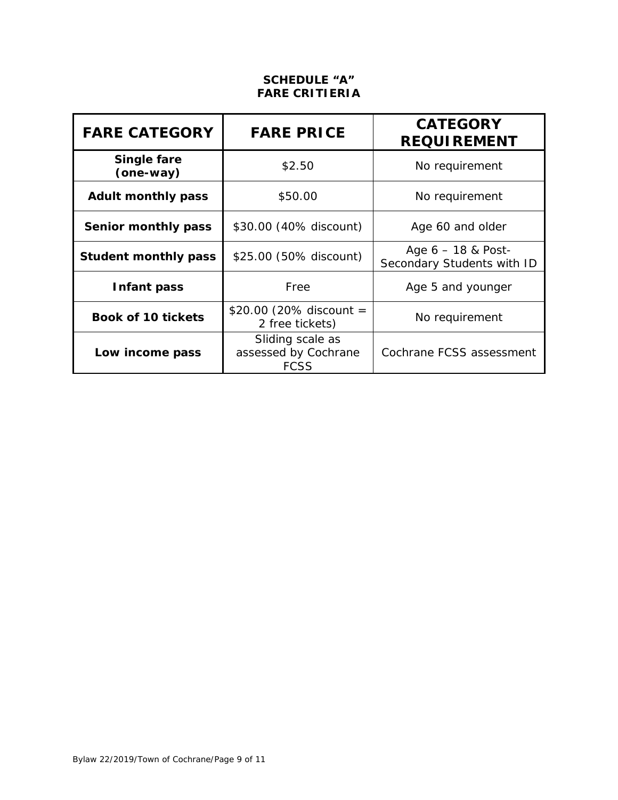### **SCHEDULE "A" FARE CRITIERIA**

| <b>FARE CATEGORY</b>        | <b>FARE PRICE</b>                                       | <b>CATEGORY</b><br><b>REQUIREMENT</b>              |  |
|-----------------------------|---------------------------------------------------------|----------------------------------------------------|--|
| Single fare<br>(one-way)    | \$2.50                                                  | No requirement                                     |  |
| <b>Adult monthly pass</b>   | \$50.00                                                 | No requirement                                     |  |
| Senior monthly pass         | \$30.00 (40% discount)                                  | Age 60 and older                                   |  |
| <b>Student monthly pass</b> | \$25.00 (50% discount)                                  | Age $6 - 18$ & Post-<br>Secondary Students with ID |  |
| Infant pass                 | Free                                                    | Age 5 and younger                                  |  |
| <b>Book of 10 tickets</b>   | \$20.00 (20% discount =<br>2 free tickets)              | No requirement                                     |  |
| Low income pass             | Sliding scale as<br>assessed by Cochrane<br><b>FCSS</b> | Cochrane FCSS assessment                           |  |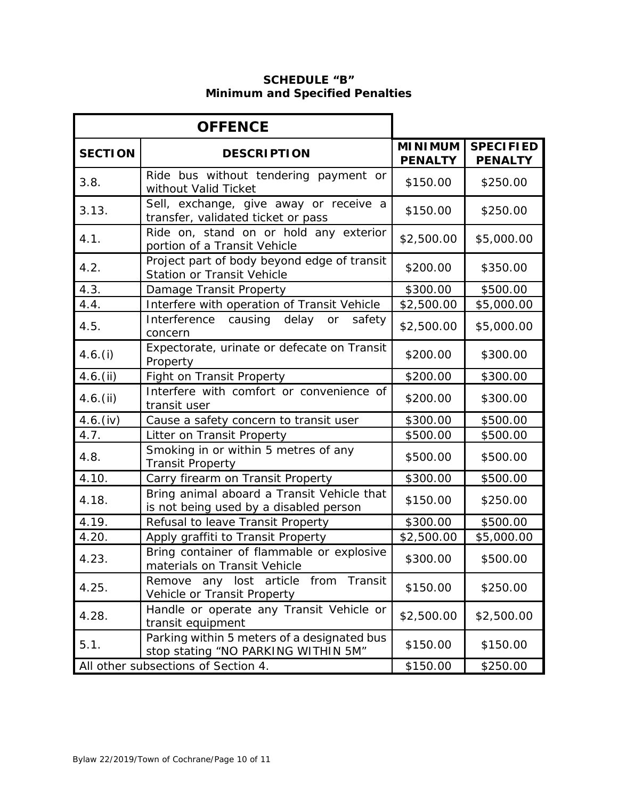### **SCHEDULE "B" Minimum and Specified Penalties**

| <b>OFFENCE</b>                      |                                                                                      |                                  |                                    |
|-------------------------------------|--------------------------------------------------------------------------------------|----------------------------------|------------------------------------|
| <b>SECTION</b>                      | <b>DESCRIPTION</b>                                                                   | <b>MINIMUM</b><br><b>PENALTY</b> | <b>SPECIFIED</b><br><b>PENALTY</b> |
| 3.8.                                | Ride bus without tendering payment or<br>without Valid Ticket                        | \$150.00                         | \$250.00                           |
| 3.13.                               | Sell, exchange, give away or receive a<br>transfer, validated ticket or pass         | \$150.00                         | \$250.00                           |
| 4.1.                                | Ride on, stand on or hold any exterior<br>portion of a Transit Vehicle               | \$2,500.00                       | \$5,000.00                         |
| 4.2.                                | Project part of body beyond edge of transit<br><b>Station or Transit Vehicle</b>     | \$200.00                         | \$350.00                           |
| 4.3.                                | Damage Transit Property                                                              | \$300.00                         | \$500.00                           |
| 4.4.                                | Interfere with operation of Transit Vehicle                                          | \$2,500.00                       | \$5,000.00                         |
| 4.5.                                | Interference<br>causing<br>delay<br>safety<br>or<br>concern                          | \$2,500.00                       | \$5,000.00                         |
| 4.6. (i)                            | Expectorate, urinate or defecate on Transit<br>Property                              | \$200.00                         | \$300.00                           |
| 4.6. (ii)                           | Fight on Transit Property                                                            | \$200.00                         | \$300.00                           |
| 4.6. (ii)                           | Interfere with comfort or convenience of<br>transit user                             | \$200.00                         | \$300.00                           |
| 4.6. (iv)                           | Cause a safety concern to transit user                                               | \$300.00                         | \$500.00                           |
| 4.7.                                | Litter on Transit Property                                                           | \$500.00                         | \$500.00                           |
| 4.8.                                | Smoking in or within 5 metres of any<br><b>Transit Property</b>                      | \$500.00                         | \$500.00                           |
| 4.10.                               | Carry firearm on Transit Property                                                    | \$300.00                         | \$500.00                           |
| 4.18.                               | Bring animal aboard a Transit Vehicle that<br>is not being used by a disabled person | \$150.00                         | \$250.00                           |
| 4.19.                               | Refusal to leave Transit Property                                                    | \$300.00                         | \$500.00                           |
| 4.20.                               | Apply graffiti to Transit Property                                                   | \$2,500.00                       | \$5,000.00                         |
| 4.23.                               | Bring container of flammable or explosive<br>materials on Transit Vehicle            | \$300.00                         | \$500.00                           |
| 4.25.                               | from Transit<br>any lost article<br>Remove<br>Vehicle or Transit Property            | \$150.00                         | \$250.00                           |
| 4.28.                               | Handle or operate any Transit Vehicle or<br>transit equipment                        | \$2,500.00                       | \$2,500.00                         |
| 5.1.                                | Parking within 5 meters of a designated bus<br>stop stating "NO PARKING WITHIN 5M"   | \$150.00                         | \$150.00                           |
| All other subsections of Section 4. |                                                                                      | \$150.00                         | \$250.00                           |